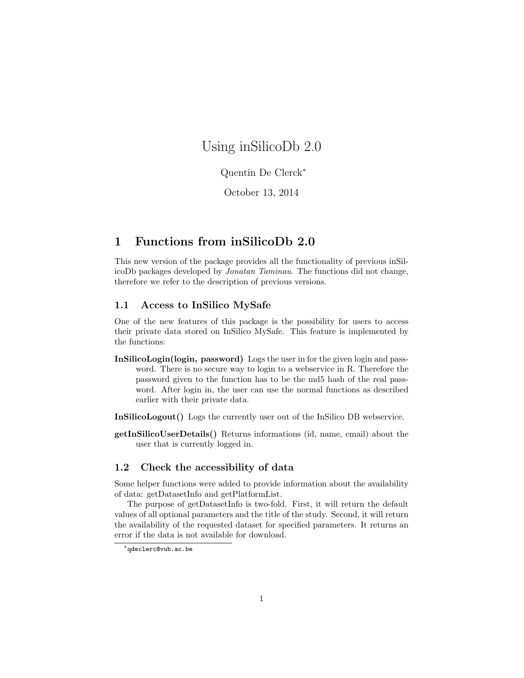# Using inSilicoDb 2.0

#### Quentin De Clerck<sup>∗</sup>

October 13, 2014

### 1 Functions from inSilicoDb 2.0

This new version of the package provides all the functionality of previous inSilicoDb packages developed by Jonatan Taminau. The functions did not change, therefore we refer to the description of previous versions.

#### 1.1 Access to InSilico MySafe

One of the new features of this package is the possibility for users to access their private data stored on InSilico MySafe. This feature is implemented by the functions:

- InSilicoLogin(login, password) Logs the user in for the given login and password. There is no secure way to login to a webservice in R. Therefore the password given to the function has to be the md5 hash of the real password. After login in, the user can use the normal functions as described earlier with their private data.
- InSilicoLogout() Logs the currently user out of the InSilico DB webservice.
- getInSilicoUserDetails() Returns informations (id, name, email) about the user that is currently logged in.

#### 1.2 Check the accessibility of data

Some helper functions were added to provide information about the availability of data: getDatasetInfo and getPlatformList.

The purpose of getDatasetInfo is two-fold. First, it will return the default values of all optional parameters and the title of the study. Second, it will return the availability of the requested dataset for specified parameters. It returns an error if the data is not available for download.

<sup>∗</sup>qdeclerc@vub.ac.be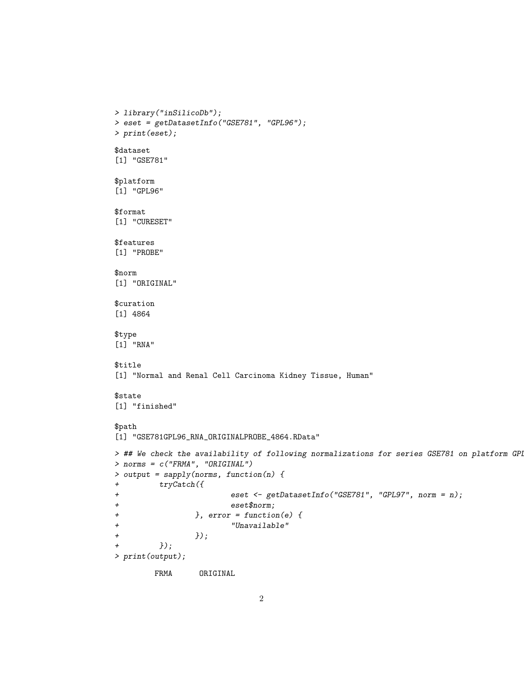```
> library("inSilicoDb");
> eset = getDatasetInfo("GSE781", "GPL96");
> print(eset);
$dataset
[1] "GSE781"
$platform
[1] "GPL96"
$format
[1] "CURESET"
$features
[1] "PROBE"
$norm
[1] "ORIGINAL"
$curation
[1] 4864
$type
[1] "RNA"
$title
[1] "Normal and Renal Cell Carcinoma Kidney Tissue, Human"
$state
[1] "finished"
$path
[1] "GSE781GPL96_RNA_ORIGINALPROBE_4864.RData"
> ## We check the availability of following normalizations for series GSE781 on platform GPL
> norms = c("FRMA", "ORIGINAL")
> output = sapply(norms, function(n) {
+ tryCatch({
+ eset <- getDatasetInfo("GSE781", "GPL97", norm = n);
+ eset$norm;
+ }, error = function(e) {
+ "Unavailable"
+ \qquad \qquad }); <br>+ \qquad \qquad });
         );
> print(output);
        FRMA ORIGINAL
```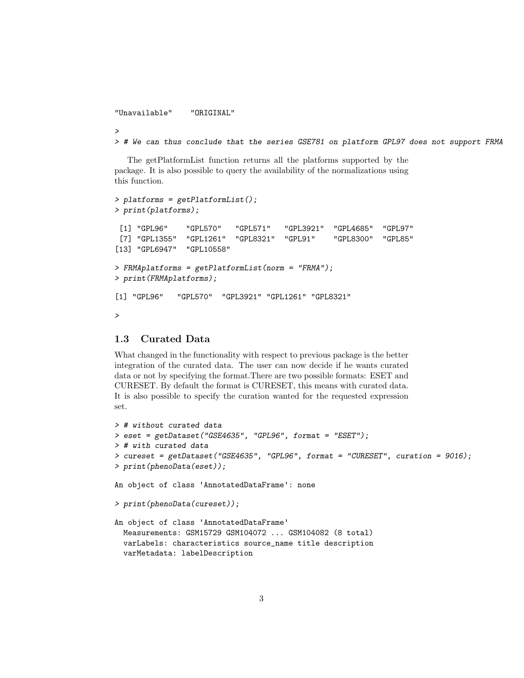"Unavailable" "ORIGINAL"

>

> # We can thus conclude that the series GSE781 on platform GPL97 does not support FRMA

The getPlatformList function returns all the platforms supported by the package. It is also possible to query the availability of the normalizations using this function.

```
> platforms = getPlatformList();
> print(platforms);
[1] "GPL96" "GPL570" "GPL571" "GPL3921" "GPL4685" "GPL97"
[7] "GPL1355" "GPL1261" "GPL8321" "GPL91" "GPL8300" "GPL85"
[13] "GPL6947" "GPL10558"
> FRMAplatforms = getPlatformList(norm = "FRMA");
> print(FRMAplatforms);
[1] "GPL96" "GPL570" "GPL3921" "GPL1261" "GPL8321"
>
```
#### 1.3 Curated Data

What changed in the functionality with respect to previous package is the better integration of the curated data. The user can now decide if he wants curated data or not by specifying the format.There are two possible formats: ESET and CURESET. By default the format is CURESET, this means with curated data. It is also possible to specify the curation wanted for the requested expression set.

```
> # without curated data
> eset = getDataset("GSE4635", "GPL96", format = "ESET");
> # with curated data
> cureset = getDataset("GSE4635", "GPL96", format = "CURESET", curation = 9016);
> print(phenoData(eset));
An object of class 'AnnotatedDataFrame': none
> print(phenoData(cureset));
An object of class 'AnnotatedDataFrame'
 Measurements: GSM15729 GSM104072 ... GSM104082 (8 total)
 varLabels: characteristics source_name title description
  varMetadata: labelDescription
```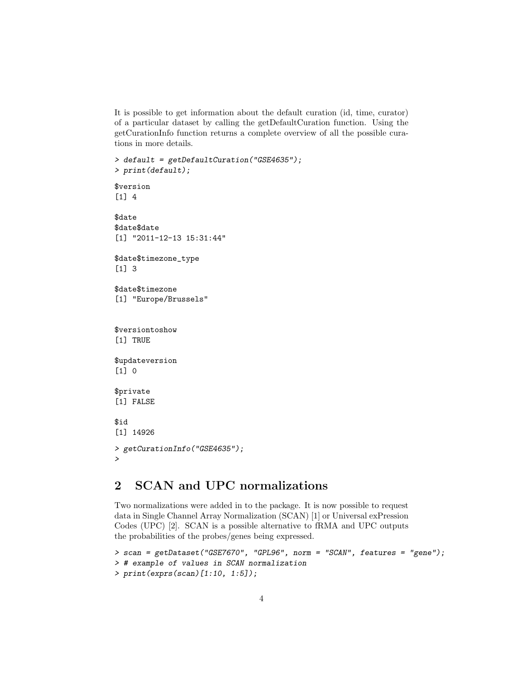It is possible to get information about the default curation (id, time, curator) of a particular dataset by calling the getDefaultCuration function. Using the getCurationInfo function returns a complete overview of all the possible curations in more details.

```
> default = getDefaultCuration("GSE4635");
> print(default);
$version
[1] 4
$date
$date$date
[1] "2011-12-13 15:31:44"
$date$timezone_type
[1] 3
$date$timezone
[1] "Europe/Brussels"
$versiontoshow
[1] TRUE
$updateversion
[1] 0
$private
[1] FALSE
$id
[1] 14926
> getCurationInfo("GSE4635");
>
```
# 2 SCAN and UPC normalizations

Two normalizations were added in to the package. It is now possible to request data in Single Channel Array Normalization (SCAN) [1] or Universal exPression Codes (UPC) [2]. SCAN is a possible alternative to fRMA and UPC outputs the probabilities of the probes/genes being expressed.

```
> scan = getDataset("GSE7670", "GPL96", norm = "SCAN", features = "gene");
> # example of values in SCAN normalization
> print(exprs(scan)[1:10, 1:5]);
```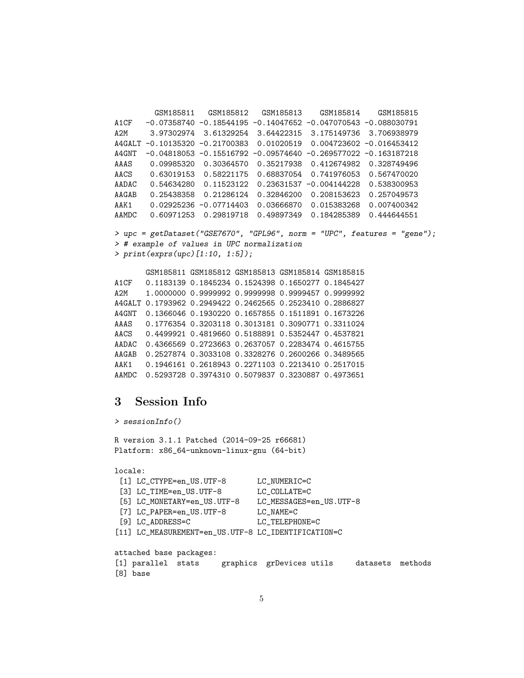```
GSM185811 GSM185812 GSM185813 GSM185814 GSM185815
A1CF -0.07358740 -0.18544195 -0.14047652 -0.047070543 -0.088030791
A2M 3.97302974 3.61329254 3.64422315 3.175149736 3.706938979
A4GALT -0.10135320 -0.21700383 0.01020519 0.004723602 -0.016453412
A4GNT -0.04818053 -0.15516792 -0.09574640 -0.269577022 -0.163187218
AAAS 0.09985320 0.30364570 0.35217938 0.412674982 0.328749496
AACS 0.63019153 0.58221175 0.68837054 0.741976053 0.567470020
AADAC 0.54634280 0.11523122 0.23631537 -0.004144228 0.538300953
AAGAB 0.25438358 0.21286124 0.32846200 0.208153623 0.257049573
AAK1 0.02925236 -0.07714403 0.03666870 0.015383268 0.007400342
AAMDC 0.60971253 0.29819718 0.49897349 0.184285389 0.444644551
> upc = getDataset("GSE7670", "GPL96", norm = "UPC", features = "gene");
> # example of values in UPC normalization
> print(exprs(upc)[1:10, 1:5]);
```
GSM185811 GSM185812 GSM185813 GSM185814 GSM185815 A1CF 0.1183139 0.1845234 0.1524398 0.1650277 0.1845427 A2M 1.0000000 0.9999992 0.9999998 0.9999457 0.9999992 A4GALT 0.1793962 0.2949422 0.2462565 0.2523410 0.2886827 A4GNT 0.1366046 0.1930220 0.1657855 0.1511891 0.1673226 AAAS 0.1776354 0.3203118 0.3013181 0.3090771 0.3311024 AACS 0.4499921 0.4819660 0.5188891 0.5352447 0.4537821 AADAC 0.4366569 0.2723663 0.2637057 0.2283474 0.4615755 AAGAB 0.2527874 0.3033108 0.3328276 0.2600266 0.3489565 AAK1 0.1946161 0.2618943 0.2271103 0.2213410 0.2517015 AAMDC 0.5293728 0.3974310 0.5079837 0.3230887 0.4973651

# 3 Session Info

```
> sessionInfo()
R version 3.1.1 Patched (2014-09-25 r66681)
Platform: x86_64-unknown-linux-gnu (64-bit)
locale:
 [1] LC_CTYPE=en_US.UTF-8 LC_NUMERIC=C
 [3] LC_TIME=en_US.UTF-8 LC_COLLATE=C
 [5] LC_MONETARY=en_US.UTF-8 LC_MESSAGES=en_US.UTF-8
 [7] LC_PAPER=en_US.UTF-8 LC_NAME=C
 [9] LC_ADDRESS=C LC_TELEPHONE=C
[11] LC_MEASUREMENT=en_US.UTF-8 LC_IDENTIFICATION=C
attached base packages:
[1] parallel stats graphics grDevices utils datasets methods
[8] base
```